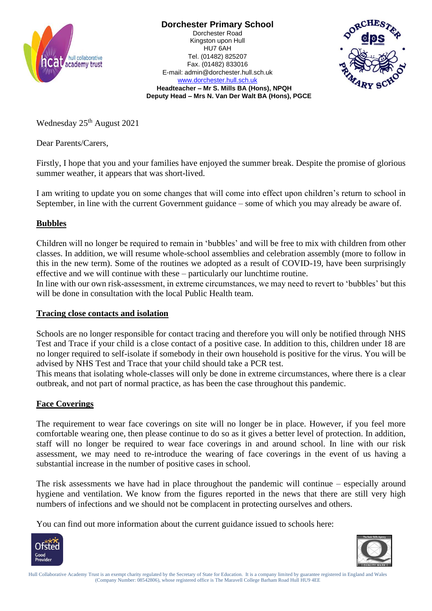

**Dorchester Primary School**

Dorchester Road Kingston upon Hull HU7 6AH Tel. (01482) 825207 Fax. (01482) 833016 E-mail: admin@dorchester.hull.sch.uk www.dorchester.hull.sch.uk



**Headteacher – Mr S. Mills BA (Hons), NPQH Deputy Head – Mrs N. Van Der Walt BA (Hons), PGCE**

Wednesday 25<sup>th</sup> August 2021

Dear Parents/Carers,

Firstly, I hope that you and your families have enjoyed the summer break. Despite the promise of glorious summer weather, it appears that was short-lived.

I am writing to update you on some changes that will come into effect upon children's return to school in September, in line with the current Government guidance – some of which you may already be aware of.

## **Bubbles**

Children will no longer be required to remain in 'bubbles' and will be free to mix with children from other classes. In addition, we will resume whole-school assemblies and celebration assembly (more to follow in this in the new term). Some of the routines we adopted as a result of COVID-19, have been surprisingly effective and we will continue with these – particularly our lunchtime routine.

In line with our own risk-assessment, in extreme circumstances, we may need to revert to 'bubbles' but this will be done in consultation with the local Public Health team.

## **Tracing close contacts and isolation**

Schools are no longer responsible for contact tracing and therefore you will only be notified through NHS Test and Trace if your child is a close contact of a positive case. In addition to this, children under 18 are no longer required to self-isolate if somebody in their own household is positive for the virus. You will be advised by NHS Test and Trace that your child should take a PCR test.

This means that isolating whole-classes will only be done in extreme circumstances, where there is a clear outbreak, and not part of normal practice, as has been the case throughout this pandemic.

## **Face Coverings**

The requirement to wear face coverings on site will no longer be in place. However, if you feel more comfortable wearing one, then please continue to do so as it gives a better level of protection. In addition, staff will no longer be required to wear face coverings in and around school. In line with our risk assessment, we may need to re-introduce the wearing of face coverings in the event of us having a substantial increase in the number of positive cases in school.

The risk assessments we have had in place throughout the pandemic will continue – especially around hygiene and ventilation. We know from the figures reported in the news that there are still very high numbers of infections and we should not be complacent in protecting ourselves and others.

You can find out more information about the current guidance issued to schools here: